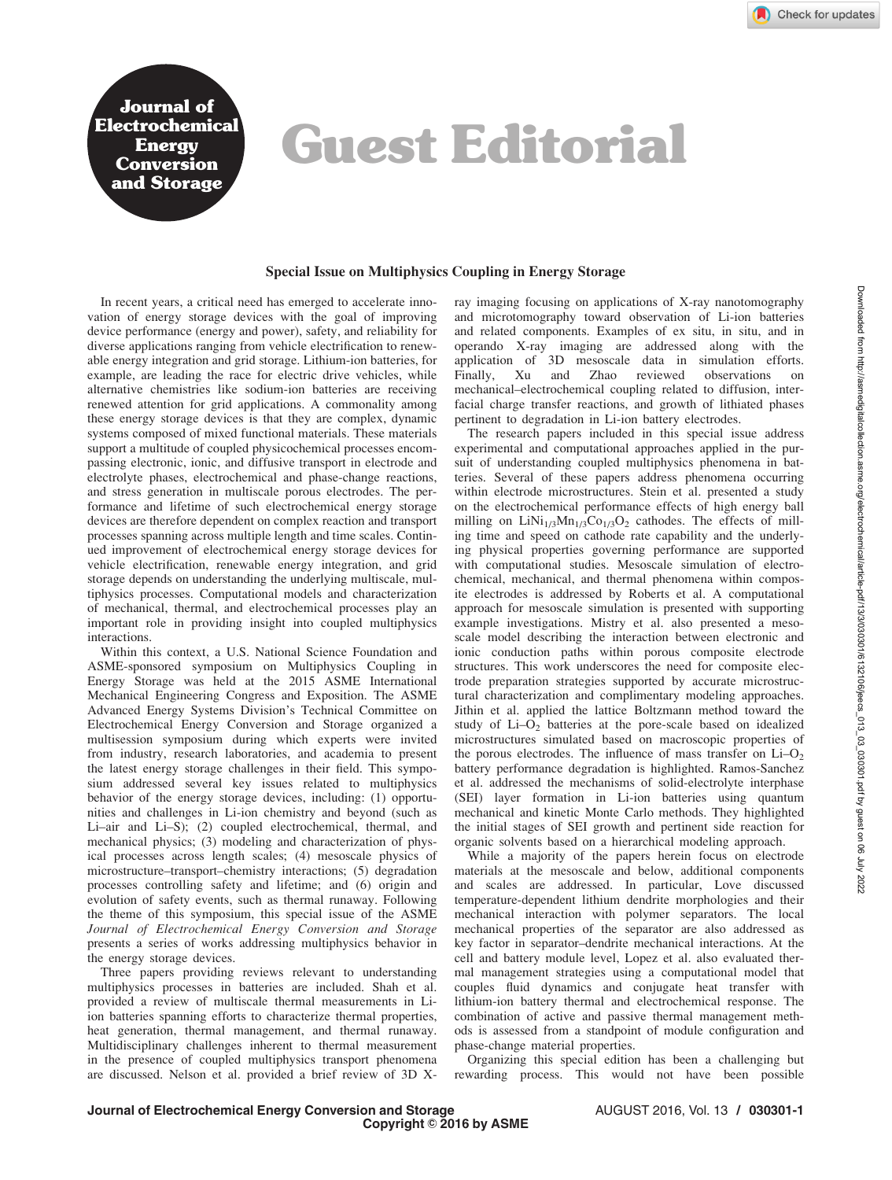Journal of Electrochemical **Energy Conversion** and Storage

## Guest Editorial

## Special Issue on Multiphysics Coupling in Energy Storage

In recent years, a critical need has emerged to accelerate innovation of energy storage devices with the goal of improving device performance (energy and power), safety, and reliability for diverse applications ranging from vehicle electrification to renewable energy integration and grid storage. Lithium-ion batteries, for example, are leading the race for electric drive vehicles, while alternative chemistries like sodium-ion batteries are receiving renewed attention for grid applications. A commonality among these energy storage devices is that they are complex, dynamic systems composed of mixed functional materials. These materials support a multitude of coupled physicochemical processes encompassing electronic, ionic, and diffusive transport in electrode and electrolyte phases, electrochemical and phase-change reactions, and stress generation in multiscale porous electrodes. The performance and lifetime of such electrochemical energy storage devices are therefore dependent on complex reaction and transport processes spanning across multiple length and time scales. Continued improvement of electrochemical energy storage devices for vehicle electrification, renewable energy integration, and grid storage depends on understanding the underlying multiscale, multiphysics processes. Computational models and characterization of mechanical, thermal, and electrochemical processes play an important role in providing insight into coupled multiphysics interactions.

Within this context, a U.S. National Science Foundation and ASME-sponsored symposium on Multiphysics Coupling in Energy Storage was held at the 2015 ASME International Mechanical Engineering Congress and Exposition. The ASME Advanced Energy Systems Division's Technical Committee on Electrochemical Energy Conversion and Storage organized a multisession symposium during which experts were invited from industry, research laboratories, and academia to present the latest energy storage challenges in their field. This symposium addressed several key issues related to multiphysics behavior of the energy storage devices, including: (1) opportunities and challenges in Li-ion chemistry and beyond (such as Li–air and Li–S); (2) coupled electrochemical, thermal, and mechanical physics; (3) modeling and characterization of physical processes across length scales; (4) mesoscale physics of microstructure–transport–chemistry interactions; (5) degradation processes controlling safety and lifetime; and (6) origin and evolution of safety events, such as thermal runaway. Following the theme of this symposium, this special issue of the ASME Journal of Electrochemical Energy Conversion and Storage presents a series of works addressing multiphysics behavior in the energy storage devices.

Three papers providing reviews relevant to understanding multiphysics processes in batteries are included. Shah et al. provided a review of multiscale thermal measurements in Liion batteries spanning efforts to characterize thermal properties, heat generation, thermal management, and thermal runaway. Multidisciplinary challenges inherent to thermal measurement in the presence of coupled multiphysics transport phenomena are discussed. Nelson et al. provided a brief review of 3D X- ray imaging focusing on applications of X-ray nanotomography and microtomography toward observation of Li-ion batteries and related components. Examples of ex situ, in situ, and in operando X-ray imaging are addressed along with the application of 3D mesoscale data in simulation efforts. Finally, Xu and Zhao reviewed observations on mechanical–electrochemical coupling related to diffusion, interfacial charge transfer reactions, and growth of lithiated phases pertinent to degradation in Li-ion battery electrodes.

The research papers included in this special issue address experimental and computational approaches applied in the pursuit of understanding coupled multiphysics phenomena in batteries. Several of these papers address phenomena occurring within electrode microstructures. Stein et al. presented a study on the electrochemical performance effects of high energy ball milling on  $LiNi<sub>1/3</sub>Mn<sub>1/3</sub>Co<sub>1/3</sub>O<sub>2</sub>$  cathodes. The effects of milling time and speed on cathode rate capability and the underlying physical properties governing performance are supported with computational studies. Mesoscale simulation of electrochemical, mechanical, and thermal phenomena within composite electrodes is addressed by Roberts et al. A computational approach for mesoscale simulation is presented with supporting example investigations. Mistry et al. also presented a mesoscale model describing the interaction between electronic and ionic conduction paths within porous composite electrode structures. This work underscores the need for composite electrode preparation strategies supported by accurate microstructural characterization and complimentary modeling approaches. Jithin et al. applied the lattice Boltzmann method toward the study of  $Li-O<sub>2</sub>$  batteries at the pore-scale based on idealized microstructures simulated based on macroscopic properties of the porous electrodes. The influence of mass transfer on  $Li-O<sub>2</sub>$ battery performance degradation is highlighted. Ramos-Sanchez et al. addressed the mechanisms of solid-electrolyte interphase (SEI) layer formation in Li-ion batteries using quantum mechanical and kinetic Monte Carlo methods. They highlighted the initial stages of SEI growth and pertinent side reaction for organic solvents based on a hierarchical modeling approach.

While a majority of the papers herein focus on electrode materials at the mesoscale and below, additional components and scales are addressed. In particular, Love discussed temperature-dependent lithium dendrite morphologies and their mechanical interaction with polymer separators. The local mechanical properties of the separator are also addressed as key factor in separator–dendrite mechanical interactions. At the cell and battery module level, Lopez et al. also evaluated thermal management strategies using a computational model that couples fluid dynamics and conjugate heat transfer with lithium-ion battery thermal and electrochemical response. The combination of active and passive thermal management methods is assessed from a standpoint of module configuration and phase-change material properties.

Organizing this special edition has been a challenging but rewarding process. This would not have been possible